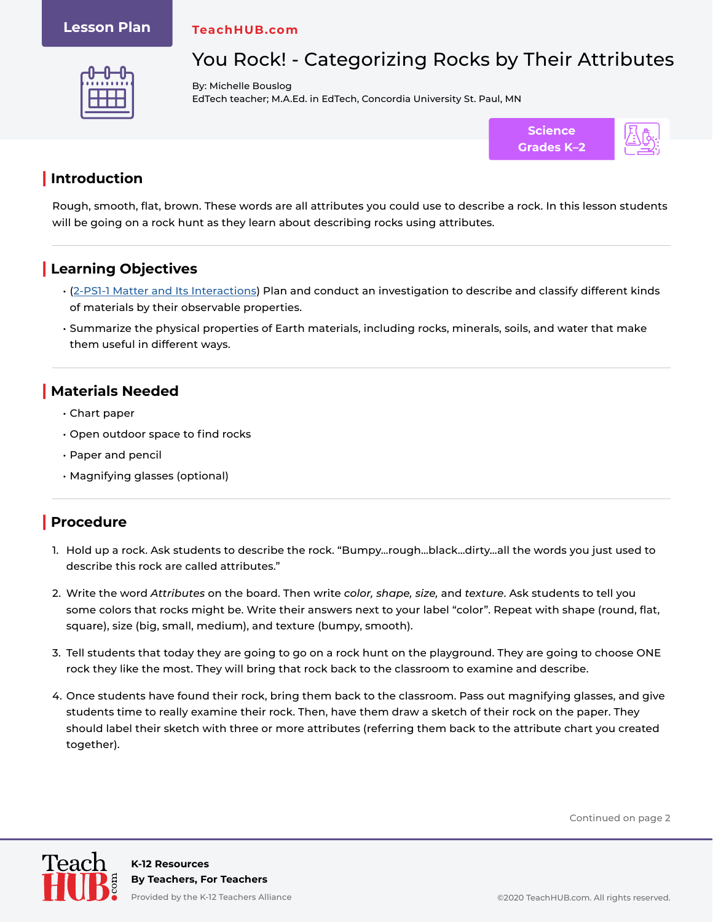### **Lesson Plan**

#### **TeachHUB.com**



# You Rock! - Categorizing Rocks by Their Attributes

By: Michelle Bouslog EdTech teacher; M.A.Ed. in EdTech, Concordia University St. Paul, MN



# **| Introduction**

Rough, smooth, flat, brown. These words are all attributes you could use to describe a rock. In this lesson students will be going on a rock hunt as they learn about describing rocks using attributes.

# **| Learning Objectives**

- ([2-PS1-1 Matter and Its Interactions](https://www.nextgenscience.org/pe/2-ps1-1-matter-and-its-interactions)) Plan and conduct an investigation to describe and classify different kinds of materials by their observable properties.
- Summarize the physical properties of Earth materials, including rocks, minerals, soils, and water that make them useful in different ways.

## **| Materials Needed**

- Chart paper
- Open outdoor space to find rocks
- Paper and pencil
- Magnifying glasses (optional)

## **| Procedure**

- 1. Hold up a rock. Ask students to describe the rock. "Bumpy…rough…black…dirty…all the words you just used to describe this rock are called attributes."
- 2. Write the word *Attributes* on the board. Then write *color, shape, size,* and *texture*. Ask students to tell you some colors that rocks might be. Write their answers next to your label "color". Repeat with shape (round, flat, square), size (big, small, medium), and texture (bumpy, smooth).
- 3. Tell students that today they are going to go on a rock hunt on the playground. They are going to choose ONE rock they like the most. They will bring that rock back to the classroom to examine and describe.
- 4. Once students have found their rock, bring them back to the classroom. Pass out magnifying glasses, and give students time to really examine their rock. Then, have them draw a sketch of their rock on the paper. They should label their sketch with three or more attributes (referring them back to the attribute chart you created together).

Continued on page 2